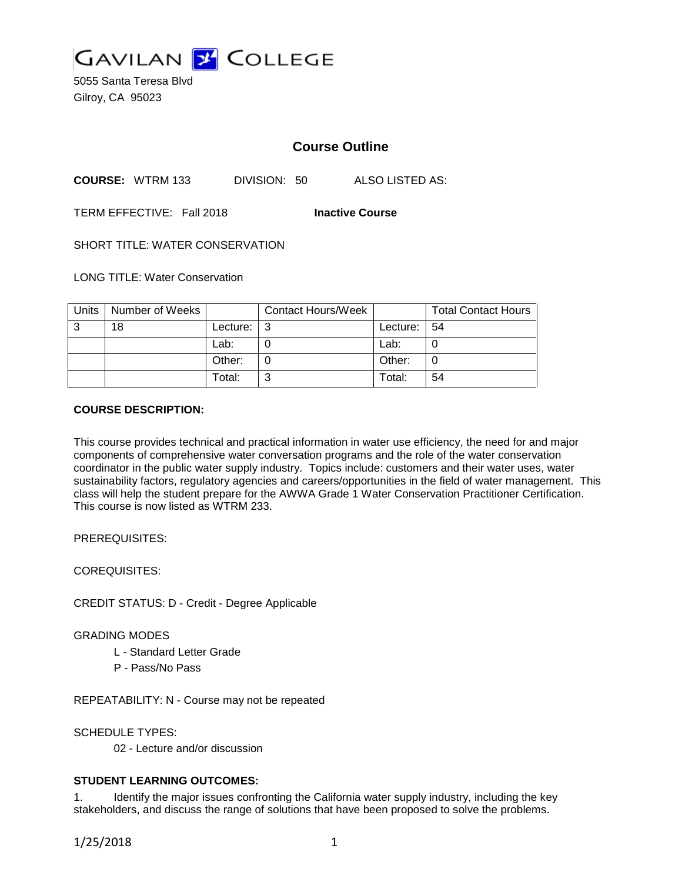

5055 Santa Teresa Blvd Gilroy, CA 95023

# **Course Outline**

**COURSE:** WTRM 133 DIVISION: 50 ALSO LISTED AS:

TERM EFFECTIVE: Fall 2018 **Inactive Course**

SHORT TITLE: WATER CONSERVATION

LONG TITLE: Water Conservation

| Units | Number of Weeks |          | <b>Contact Hours/Week</b> |                | <b>Total Contact Hours</b> |
|-------|-----------------|----------|---------------------------|----------------|----------------------------|
| 3     | 18              | Lecture: | l 3                       | Lecture: $ 54$ |                            |
|       |                 | Lab:     |                           | Lab:           |                            |
|       |                 | Other:   |                           | Other:         |                            |
|       |                 | Total:   | ົ                         | Total:         | 54                         |

### **COURSE DESCRIPTION:**

This course provides technical and practical information in water use efficiency, the need for and major components of comprehensive water conversation programs and the role of the water conservation coordinator in the public water supply industry. Topics include: customers and their water uses, water sustainability factors, regulatory agencies and careers/opportunities in the field of water management. This class will help the student prepare for the AWWA Grade 1 Water Conservation Practitioner Certification. This course is now listed as WTRM 233.

PREREQUISITES:

COREQUISITES:

CREDIT STATUS: D - Credit - Degree Applicable

GRADING MODES

- L Standard Letter Grade
- P Pass/No Pass

REPEATABILITY: N - Course may not be repeated

SCHEDULE TYPES:

02 - Lecture and/or discussion

# **STUDENT LEARNING OUTCOMES:**

1. Identify the major issues confronting the California water supply industry, including the key stakeholders, and discuss the range of solutions that have been proposed to solve the problems.

1/25/2018 1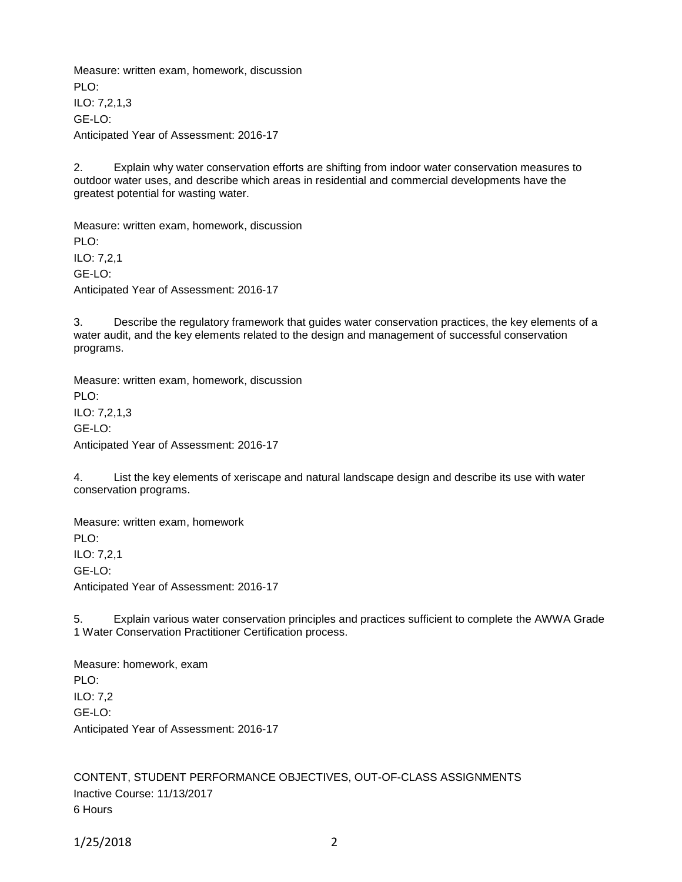Measure: written exam, homework, discussion PLO: ILO: 7,2,1,3 GE-LO: Anticipated Year of Assessment: 2016-17

2. Explain why water conservation efforts are shifting from indoor water conservation measures to outdoor water uses, and describe which areas in residential and commercial developments have the greatest potential for wasting water.

Measure: written exam, homework, discussion PLO: ILO: 7,2,1 GE-LO: Anticipated Year of Assessment: 2016-17

3. Describe the regulatory framework that guides water conservation practices, the key elements of a water audit, and the key elements related to the design and management of successful conservation programs.

Measure: written exam, homework, discussion PLO: ILO: 7,2,1,3 GE-LO: Anticipated Year of Assessment: 2016-17

4. List the key elements of xeriscape and natural landscape design and describe its use with water conservation programs.

Measure: written exam, homework PLO: ILO: 7,2,1 GE-LO: Anticipated Year of Assessment: 2016-17

5. Explain various water conservation principles and practices sufficient to complete the AWWA Grade 1 Water Conservation Practitioner Certification process.

Measure: homework, exam PLO<sup>.</sup> ILO: 7,2 GE-LO: Anticipated Year of Assessment: 2016-17

CONTENT, STUDENT PERFORMANCE OBJECTIVES, OUT-OF-CLASS ASSIGNMENTS Inactive Course: 11/13/2017 6 Hours

1/25/2018 2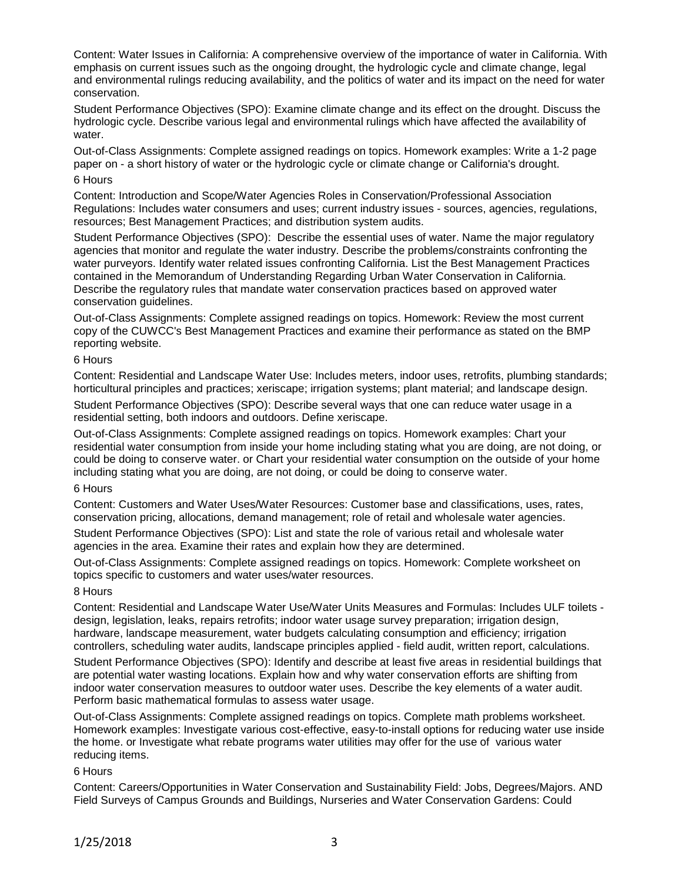Content: Water Issues in California: A comprehensive overview of the importance of water in California. With emphasis on current issues such as the ongoing drought, the hydrologic cycle and climate change, legal and environmental rulings reducing availability, and the politics of water and its impact on the need for water conservation.

Student Performance Objectives (SPO): Examine climate change and its effect on the drought. Discuss the hydrologic cycle. Describe various legal and environmental rulings which have affected the availability of water.

Out-of-Class Assignments: Complete assigned readings on topics. Homework examples: Write a 1-2 page paper on - a short history of water or the hydrologic cycle or climate change or California's drought. 6 Hours

Content: Introduction and Scope/Water Agencies Roles in Conservation/Professional Association Regulations: Includes water consumers and uses; current industry issues - sources, agencies, regulations, resources; Best Management Practices; and distribution system audits.

Student Performance Objectives (SPO): Describe the essential uses of water. Name the major regulatory agencies that monitor and regulate the water industry. Describe the problems/constraints confronting the water purveyors. Identify water related issues confronting California. List the Best Management Practices contained in the Memorandum of Understanding Regarding Urban Water Conservation in California. Describe the regulatory rules that mandate water conservation practices based on approved water conservation guidelines.

Out-of-Class Assignments: Complete assigned readings on topics. Homework: Review the most current copy of the CUWCC's Best Management Practices and examine their performance as stated on the BMP reporting website.

### 6 Hours

Content: Residential and Landscape Water Use: Includes meters, indoor uses, retrofits, plumbing standards; horticultural principles and practices; xeriscape; irrigation systems; plant material; and landscape design.

Student Performance Objectives (SPO): Describe several ways that one can reduce water usage in a residential setting, both indoors and outdoors. Define xeriscape.

Out-of-Class Assignments: Complete assigned readings on topics. Homework examples: Chart your residential water consumption from inside your home including stating what you are doing, are not doing, or could be doing to conserve water. or Chart your residential water consumption on the outside of your home including stating what you are doing, are not doing, or could be doing to conserve water.

#### 6 Hours

Content: Customers and Water Uses/Water Resources: Customer base and classifications, uses, rates, conservation pricing, allocations, demand management; role of retail and wholesale water agencies.

Student Performance Objectives (SPO): List and state the role of various retail and wholesale water agencies in the area. Examine their rates and explain how they are determined.

Out-of-Class Assignments: Complete assigned readings on topics. Homework: Complete worksheet on topics specific to customers and water uses/water resources.

# 8 Hours

Content: Residential and Landscape Water Use/Water Units Measures and Formulas: Includes ULF toilets design, legislation, leaks, repairs retrofits; indoor water usage survey preparation; irrigation design, hardware, landscape measurement, water budgets calculating consumption and efficiency; irrigation controllers, scheduling water audits, landscape principles applied - field audit, written report, calculations. Student Performance Objectives (SPO): Identify and describe at least five areas in residential buildings that are potential water wasting locations. Explain how and why water conservation efforts are shifting from indoor water conservation measures to outdoor water uses. Describe the key elements of a water audit. Perform basic mathematical formulas to assess water usage.

Out-of-Class Assignments: Complete assigned readings on topics. Complete math problems worksheet. Homework examples: Investigate various cost-effective, easy-to-install options for reducing water use inside the home. or Investigate what rebate programs water utilities may offer for the use of various water reducing items.

# 6 Hours

Content: Careers/Opportunities in Water Conservation and Sustainability Field: Jobs, Degrees/Majors. AND Field Surveys of Campus Grounds and Buildings, Nurseries and Water Conservation Gardens: Could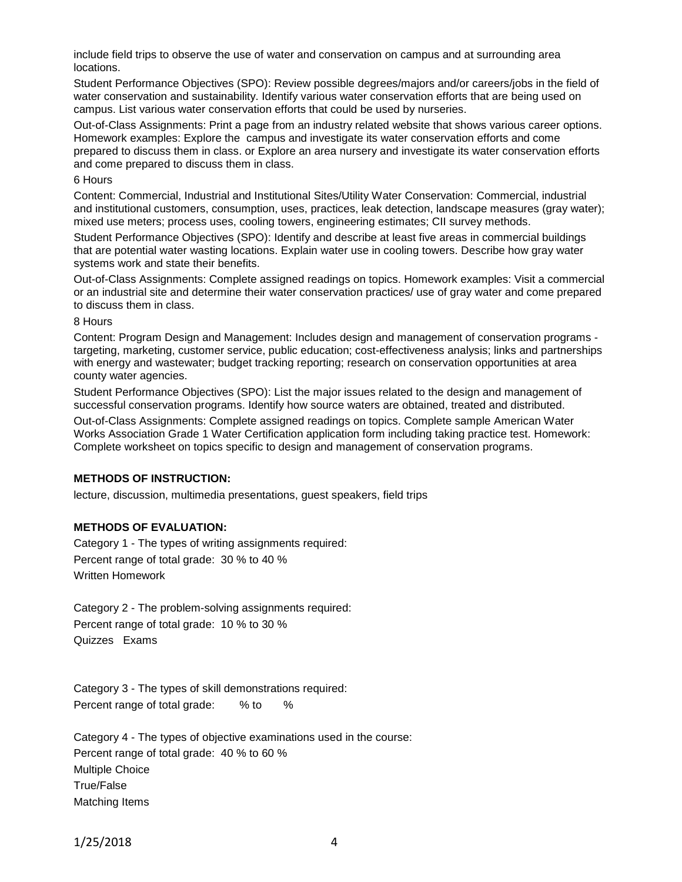include field trips to observe the use of water and conservation on campus and at surrounding area locations.

Student Performance Objectives (SPO): Review possible degrees/majors and/or careers/jobs in the field of water conservation and sustainability. Identify various water conservation efforts that are being used on campus. List various water conservation efforts that could be used by nurseries.

Out-of-Class Assignments: Print a page from an industry related website that shows various career options. Homework examples: Explore the campus and investigate its water conservation efforts and come prepared to discuss them in class. or Explore an area nursery and investigate its water conservation efforts and come prepared to discuss them in class.

#### 6 Hours

Content: Commercial, Industrial and Institutional Sites/Utility Water Conservation: Commercial, industrial and institutional customers, consumption, uses, practices, leak detection, landscape measures (gray water); mixed use meters; process uses, cooling towers, engineering estimates; CII survey methods.

Student Performance Objectives (SPO): Identify and describe at least five areas in commercial buildings that are potential water wasting locations. Explain water use in cooling towers. Describe how gray water systems work and state their benefits.

Out-of-Class Assignments: Complete assigned readings on topics. Homework examples: Visit a commercial or an industrial site and determine their water conservation practices/ use of gray water and come prepared to discuss them in class.

#### 8 Hours

Content: Program Design and Management: Includes design and management of conservation programs targeting, marketing, customer service, public education; cost-effectiveness analysis; links and partnerships with energy and wastewater; budget tracking reporting; research on conservation opportunities at area county water agencies.

Student Performance Objectives (SPO): List the major issues related to the design and management of successful conservation programs. Identify how source waters are obtained, treated and distributed.

Out-of-Class Assignments: Complete assigned readings on topics. Complete sample American Water Works Association Grade 1 Water Certification application form including taking practice test. Homework: Complete worksheet on topics specific to design and management of conservation programs.

# **METHODS OF INSTRUCTION:**

lecture, discussion, multimedia presentations, guest speakers, field trips

# **METHODS OF EVALUATION:**

Category 1 - The types of writing assignments required: Percent range of total grade: 30 % to 40 % Written Homework

Category 2 - The problem-solving assignments required: Percent range of total grade: 10 % to 30 % Quizzes Exams

Category 3 - The types of skill demonstrations required: Percent range of total grade: % to %

Category 4 - The types of objective examinations used in the course: Percent range of total grade: 40 % to 60 % Multiple Choice True/False Matching Items